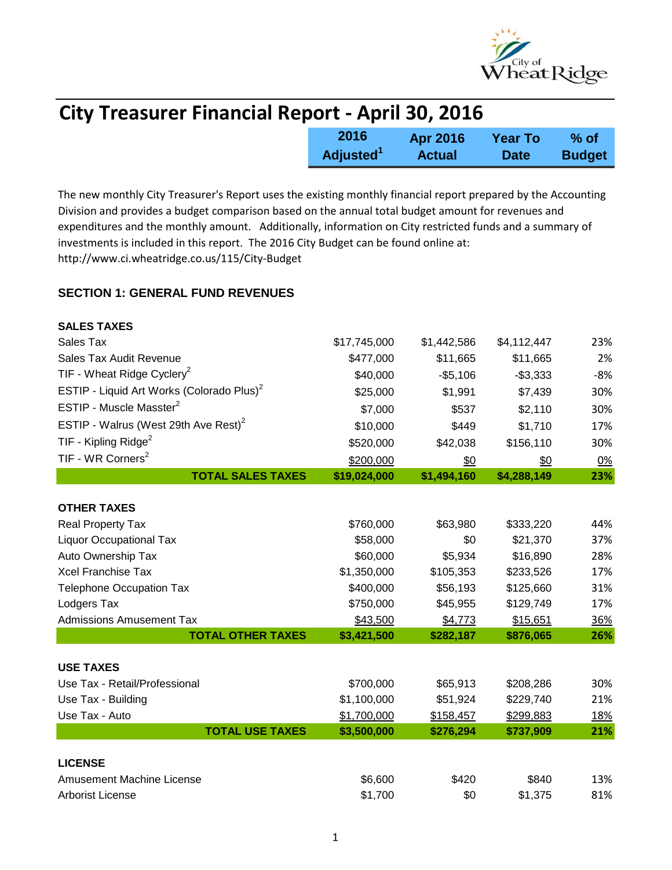

| <b>City Treasurer Financial Report - April 30, 2016</b> |                       |                 |                |               |
|---------------------------------------------------------|-----------------------|-----------------|----------------|---------------|
|                                                         | 2016                  | <b>Apr 2016</b> | <b>Year To</b> | $%$ of        |
|                                                         | Adjusted <sup>1</sup> | <b>Actual</b>   | <b>Date</b>    | <b>Budget</b> |

The new monthly City Treasurer's Report uses the existing monthly financial report prepared by the Accounting Division and provides a budget comparison based on the annual total budget amount for revenues and expenditures and the monthly amount. Additionally, information on City restricted funds and a summary of investments is included in this report. The 2016 City Budget can be found online at: http://www.ci.wheatridge.co.us/115/City-Budget

#### **SECTION 1: GENERAL FUND REVENUES**

| <b>SALES TAXES</b>                                    |              |             |             |       |
|-------------------------------------------------------|--------------|-------------|-------------|-------|
| Sales Tax                                             | \$17,745,000 | \$1,442,586 | \$4,112,447 | 23%   |
| Sales Tax Audit Revenue                               | \$477,000    | \$11,665    | \$11,665    | 2%    |
| TIF - Wheat Ridge Cyclery <sup>2</sup>                | \$40,000     | $-$5,106$   | $-$3,333$   | $-8%$ |
| ESTIP - Liquid Art Works (Colorado Plus) <sup>2</sup> | \$25,000     | \$1,991     | \$7,439     | 30%   |
| ESTIP - Muscle Masster <sup>2</sup>                   | \$7,000      | \$537       | \$2,110     | 30%   |
| ESTIP - Walrus (West 29th Ave Rest) <sup>2</sup>      | \$10,000     | \$449       | \$1,710     | 17%   |
| TIF - Kipling Ridge <sup>2</sup>                      | \$520,000    | \$42,038    | \$156,110   | 30%   |
| TIF - WR Corners <sup>2</sup>                         | \$200,000    | \$0         | \$0         | 0%    |
| <b>TOTAL SALES TAXES</b>                              | \$19,024,000 | \$1,494,160 | \$4,288,149 | 23%   |
|                                                       |              |             |             |       |
| <b>OTHER TAXES</b>                                    |              |             |             |       |
| Real Property Tax                                     | \$760,000    | \$63,980    | \$333,220   | 44%   |
| <b>Liquor Occupational Tax</b>                        | \$58,000     | \$0         | \$21,370    | 37%   |
| Auto Ownership Tax                                    | \$60,000     | \$5,934     | \$16,890    | 28%   |
| <b>Xcel Franchise Tax</b>                             | \$1,350,000  | \$105,353   | \$233,526   | 17%   |
| <b>Telephone Occupation Tax</b>                       | \$400,000    | \$56,193    | \$125,660   | 31%   |
| Lodgers Tax                                           | \$750,000    | \$45,955    | \$129,749   | 17%   |
| <b>Admissions Amusement Tax</b>                       | \$43,500     | \$4,773     | \$15,651    | 36%   |
| <b>TOTAL OTHER TAXES</b>                              | \$3,421,500  | \$282,187   | \$876,065   | 26%   |
|                                                       |              |             |             |       |
| <b>USE TAXES</b>                                      |              |             |             |       |
| Use Tax - Retail/Professional                         | \$700,000    | \$65,913    | \$208,286   | 30%   |
| Use Tax - Building                                    | \$1,100,000  | \$51,924    | \$229,740   | 21%   |
| Use Tax - Auto                                        | \$1,700,000  | \$158,457   | \$299,883   | 18%   |
| <b>TOTAL USE TAXES</b>                                | \$3,500,000  | \$276,294   | \$737,909   | 21%   |
| <b>LICENSE</b>                                        |              |             |             |       |
| <b>Amusement Machine License</b>                      | \$6,600      | \$420       | \$840       | 13%   |
| <b>Arborist License</b>                               | \$1,700      | \$0         | \$1,375     | 81%   |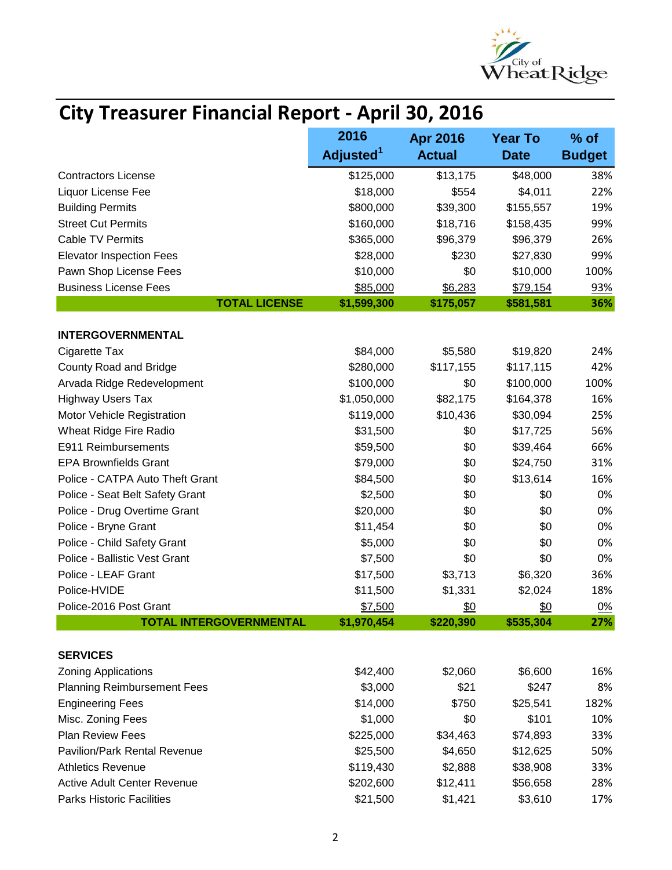

|                                     | 2016                  | <b>Apr 2016</b> | <b>Year To</b> | % of          |
|-------------------------------------|-----------------------|-----------------|----------------|---------------|
|                                     | Adjusted <sup>1</sup> | <b>Actual</b>   | <b>Date</b>    | <b>Budget</b> |
| <b>Contractors License</b>          | \$125,000             | \$13,175        | \$48,000       | 38%           |
| Liquor License Fee                  | \$18,000              | \$554           | \$4,011        | 22%           |
| <b>Building Permits</b>             | \$800,000             | \$39,300        | \$155,557      | 19%           |
| <b>Street Cut Permits</b>           | \$160,000             | \$18,716        | \$158,435      | 99%           |
| <b>Cable TV Permits</b>             | \$365,000             | \$96,379        | \$96,379       | 26%           |
| <b>Elevator Inspection Fees</b>     | \$28,000              | \$230           | \$27,830       | 99%           |
| Pawn Shop License Fees              | \$10,000              | \$0             | \$10,000       | 100%          |
| <b>Business License Fees</b>        | \$85,000              | \$6,283         | \$79,154       | 93%           |
| <b>TOTAL LICENSE</b>                | \$1,599,300           | \$175,057       | \$581,581      | 36%           |
| <b>INTERGOVERNMENTAL</b>            |                       |                 |                |               |
| Cigarette Tax                       | \$84,000              | \$5,580         | \$19,820       | 24%           |
| County Road and Bridge              | \$280,000             | \$117,155       | \$117,115      | 42%           |
| Arvada Ridge Redevelopment          | \$100,000             | \$0             | \$100,000      | 100%          |
| <b>Highway Users Tax</b>            | \$1,050,000           | \$82,175        | \$164,378      | 16%           |
| Motor Vehicle Registration          | \$119,000             | \$10,436        | \$30,094       | 25%           |
| Wheat Ridge Fire Radio              | \$31,500              | \$0             | \$17,725       | 56%           |
| E911 Reimbursements                 | \$59,500              | \$0             | \$39,464       | 66%           |
| <b>EPA Brownfields Grant</b>        | \$79,000              | \$0             | \$24,750       | 31%           |
| Police - CATPA Auto Theft Grant     | \$84,500              | \$0             | \$13,614       | 16%           |
| Police - Seat Belt Safety Grant     | \$2,500               | \$0             | \$0            | 0%            |
| Police - Drug Overtime Grant        | \$20,000              | \$0             | \$0            | 0%            |
| Police - Bryne Grant                | \$11,454              | \$0             | \$0            | 0%            |
| Police - Child Safety Grant         | \$5,000               | \$0             | \$0            | 0%            |
| Police - Ballistic Vest Grant       | \$7,500               | \$0             | \$0            | 0%            |
| Police - LEAF Grant                 | \$17,500              | \$3,713         | \$6,320        | 36%           |
| Police-HVIDE                        | \$11,500              | \$1,331         | \$2,024        | 18%           |
| Police-2016 Post Grant              | \$7,500               | \$0             | \$0            | 0%            |
| <b>TOTAL INTERGOVERNMENTAL</b>      | \$1,970,454           | \$220,390       | \$535,304      | 27%           |
|                                     |                       |                 |                |               |
| <b>SERVICES</b>                     |                       |                 |                |               |
| <b>Zoning Applications</b>          | \$42,400              | \$2,060         | \$6,600        | 16%           |
| <b>Planning Reimbursement Fees</b>  | \$3,000               | \$21            | \$247          | 8%            |
| <b>Engineering Fees</b>             | \$14,000              | \$750           | \$25,541       | 182%          |
| Misc. Zoning Fees                   | \$1,000               | \$0             | \$101          | 10%           |
| Plan Review Fees                    | \$225,000             | \$34,463        | \$74,893       | 33%           |
| <b>Pavilion/Park Rental Revenue</b> | \$25,500              | \$4,650         | \$12,625       | 50%           |
| <b>Athletics Revenue</b>            | \$119,430             | \$2,888         | \$38,908       | 33%           |
| <b>Active Adult Center Revenue</b>  | \$202,600             | \$12,411        | \$56,658       | 28%           |
| <b>Parks Historic Facilities</b>    | \$21,500              | \$1,421         | \$3,610        | 17%           |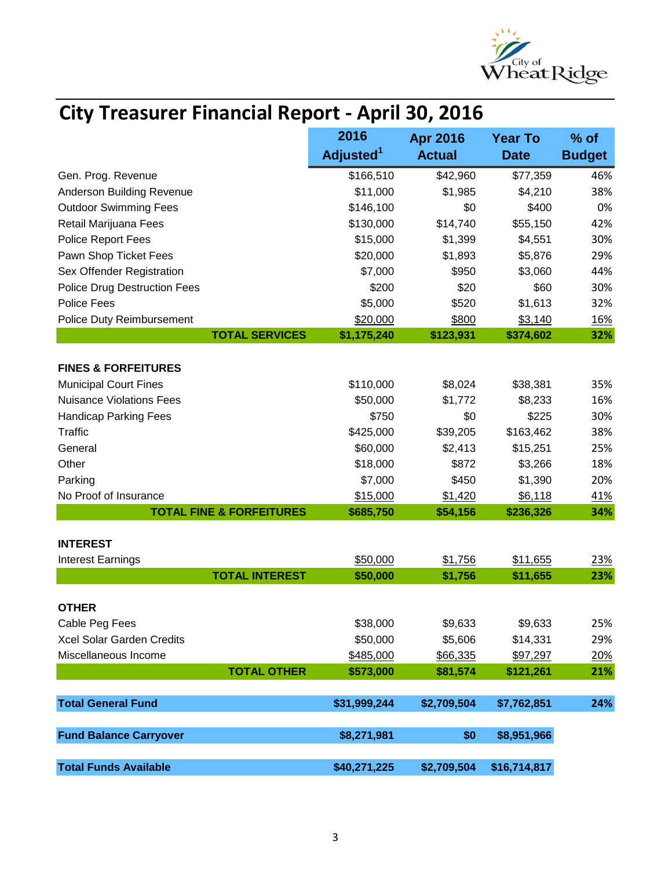

|                                     | 2016                  | <b>Apr 2016</b> | <b>Year To</b> | $%$ of        |
|-------------------------------------|-----------------------|-----------------|----------------|---------------|
|                                     | Adjusted <sup>1</sup> | <b>Actual</b>   | <b>Date</b>    | <b>Budget</b> |
| Gen. Prog. Revenue                  | \$166,510             | \$42,960        | \$77,359       | 46%           |
| Anderson Building Revenue           | \$11,000              | \$1,985         | \$4,210        | 38%           |
| <b>Outdoor Swimming Fees</b>        | \$146,100             | \$0             | \$400          | 0%            |
| Retail Marijuana Fees               | \$130,000             | \$14,740        | \$55,150       | 42%           |
| Police Report Fees                  | \$15,000              | \$1,399         | \$4,551        | 30%           |
| Pawn Shop Ticket Fees               | \$20,000              | \$1,893         | \$5,876        | 29%           |
| Sex Offender Registration           | \$7,000               | \$950           | \$3,060        | 44%           |
| <b>Police Drug Destruction Fees</b> | \$200                 | \$20            | \$60           | 30%           |
| Police Fees                         | \$5,000               | \$520           | \$1,613        | 32%           |
| Police Duty Reimbursement           | \$20,000              | \$800           | \$3,140        | <u>16%</u>    |
| <b>TOTAL SERVICES</b>               | \$1,175,240           | \$123,931       | \$374,602      | 32%           |
|                                     |                       |                 |                |               |
| <b>FINES &amp; FORFEITURES</b>      |                       |                 |                |               |
| <b>Municipal Court Fines</b>        | \$110,000             | \$8,024         | \$38,381       | 35%           |
| <b>Nuisance Violations Fees</b>     | \$50,000              | \$1,772         | \$8,233        | 16%           |
| <b>Handicap Parking Fees</b>        | \$750                 | \$0             | \$225          | 30%           |
| <b>Traffic</b>                      | \$425,000             | \$39,205        | \$163,462      | 38%           |
| General                             | \$60,000              | \$2,413         | \$15,251       | 25%           |
| Other                               | \$18,000              | \$872           | \$3,266        | 18%           |
| Parking                             | \$7,000               | \$450           | \$1,390        | 20%           |
| No Proof of Insurance               | \$15,000              | \$1,420         | \$6,118        | 41%           |
| <b>TOTAL FINE &amp; FORFEITURES</b> | \$685,750             | \$54,156        | \$236,326      | 34%           |
|                                     |                       |                 |                |               |
| <b>INTEREST</b>                     |                       |                 |                |               |
| <b>Interest Earnings</b>            | \$50,000              | \$1,756         | \$11,655       | <u>23%</u>    |
| <b>TOTAL INTEREST</b>               | \$50,000              | \$1,756         | \$11,655       | 23%           |
|                                     |                       |                 |                |               |
| <b>OTHER</b>                        |                       |                 |                |               |
| Cable Peg Fees                      | \$38,000              | \$9,633         | \$9,633        | 25%           |
| Xcel Solar Garden Credits           | \$50,000              | \$5,606         | \$14,331       | 29%           |
| Miscellaneous Income                | \$485,000             | \$66,335        | \$97,297       | 20%           |
| <b>TOTAL OTHER</b>                  | \$573,000             | \$81,574        | \$121,261      | 21%           |
| <b>Total General Fund</b>           | \$31,999,244          | \$2,709,504     | \$7,762,851    | 24%           |
|                                     |                       |                 |                |               |
| <b>Fund Balance Carryover</b>       | \$8,271,981           | \$0             | \$8,951,966    |               |
| <b>Total Funds Available</b>        | \$40,271,225          | \$2,709,504     | \$16,714,817   |               |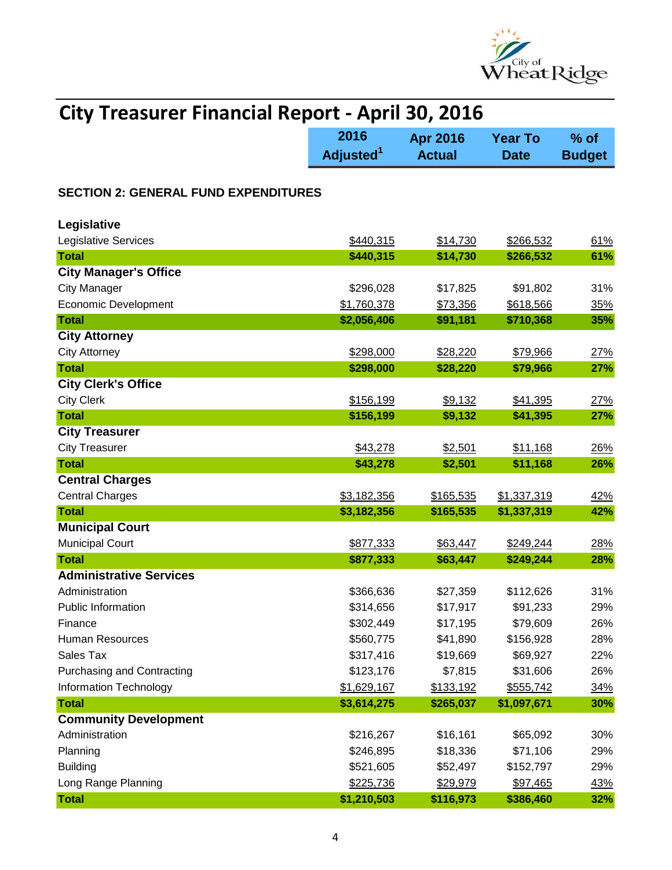

| <b>City Treasurer Financial Report - April 30, 2016</b> |                               |                                  |                               |                         |
|---------------------------------------------------------|-------------------------------|----------------------------------|-------------------------------|-------------------------|
|                                                         | 2016<br>Adjusted <sup>1</sup> | <b>Apr 2016</b><br><b>Actual</b> | <b>Year To</b><br><b>Date</b> | $%$ of<br><b>Budget</b> |
| <b>SECTION 2: GENERAL FUND EXPENDITURES</b>             |                               |                                  |                               |                         |
| Legislative                                             |                               |                                  |                               |                         |
| Legislative Services                                    | \$440,315                     | \$14,730                         | \$266,532                     | 61%                     |
| <b>Total</b>                                            | \$440,315                     | \$14,730                         | \$266,532                     | 61%                     |
| <b>City Manager's Office</b>                            |                               |                                  |                               |                         |
| <b>City Manager</b>                                     | \$296,028                     | \$17,825                         | \$91,802                      | 31%                     |
| <b>Economic Development</b>                             | \$1,760,378                   | \$73,356                         | \$618,566                     | 35%                     |
| <b>Total</b>                                            | \$2,056,406                   | \$91,181                         | \$710,368                     | 35%                     |
| <b>City Attorney</b>                                    |                               |                                  |                               |                         |
| <b>City Attorney</b>                                    | \$298,000                     | \$28,220                         | \$79,966                      | 27%                     |
| <b>Total</b>                                            | \$298,000                     | \$28,220                         | \$79,966                      | 27%                     |
| <b>City Clerk's Office</b>                              |                               |                                  |                               |                         |
| <b>City Clerk</b>                                       | \$156,199                     | \$9,132                          | \$41,395                      | <u>27%</u>              |
| <b>Total</b>                                            | \$156,199                     | \$9,132                          | \$41,395                      | 27%                     |
| <b>City Treasurer</b>                                   |                               |                                  |                               |                         |
| <b>City Treasurer</b>                                   | \$43,278                      | \$2,501                          | \$11,168                      | 26%                     |
| <b>Total</b>                                            | \$43,278                      | \$2,501                          | \$11,168                      | 26%                     |
| <b>Central Charges</b>                                  |                               |                                  |                               |                         |
| <b>Central Charges</b>                                  | \$3,182,356                   | \$165,535                        | \$1,337,319                   | 42%                     |
| <b>Total</b>                                            | \$3,182,356                   | \$165,535                        | \$1,337,319                   | 42%                     |
| <b>Municipal Court</b>                                  |                               |                                  |                               |                         |
| <b>Municipal Court</b>                                  | \$877,333                     | \$63,447                         | \$249,244                     | 28%                     |
| <b>Total</b>                                            | \$877,333                     | \$63,447                         | \$249,244                     | 28%                     |
| <b>Administrative Services</b>                          |                               |                                  |                               |                         |
| Administration                                          | \$366,636                     | \$27,359                         | \$112,626                     | 31%                     |
| <b>Public Information</b>                               | \$314,656                     | \$17,917                         | \$91,233                      | 29%                     |
| Finance                                                 | \$302,449                     | \$17,195                         | \$79,609                      | 26%                     |
| <b>Human Resources</b>                                  | \$560,775                     | \$41,890                         | \$156,928                     | 28%                     |
| Sales Tax                                               | \$317,416                     | \$19,669                         | \$69,927                      | 22%                     |
| <b>Purchasing and Contracting</b>                       | \$123,176                     | \$7,815                          | \$31,606                      | 26%                     |
| Information Technology                                  | \$1,629,167                   | \$133,192                        | \$555,742                     | 34%                     |
| <b>Total</b>                                            | \$3,614,275                   | \$265,037                        | \$1,097,671                   | 30%                     |
| <b>Community Development</b>                            |                               |                                  |                               |                         |
| Administration                                          | \$216,267                     | \$16,161                         | \$65,092                      | 30%                     |
| Planning                                                | \$246,895                     | \$18,336                         | \$71,106                      | 29%                     |
| <b>Building</b>                                         | \$521,605                     | \$52,497                         | \$152,797                     | 29%                     |
| Long Range Planning                                     | \$225,736                     | \$29,979                         | \$97,465                      | 43%                     |
| <b>Total</b>                                            | \$1,210,503                   | \$116,973                        | \$386,460                     | 32%                     |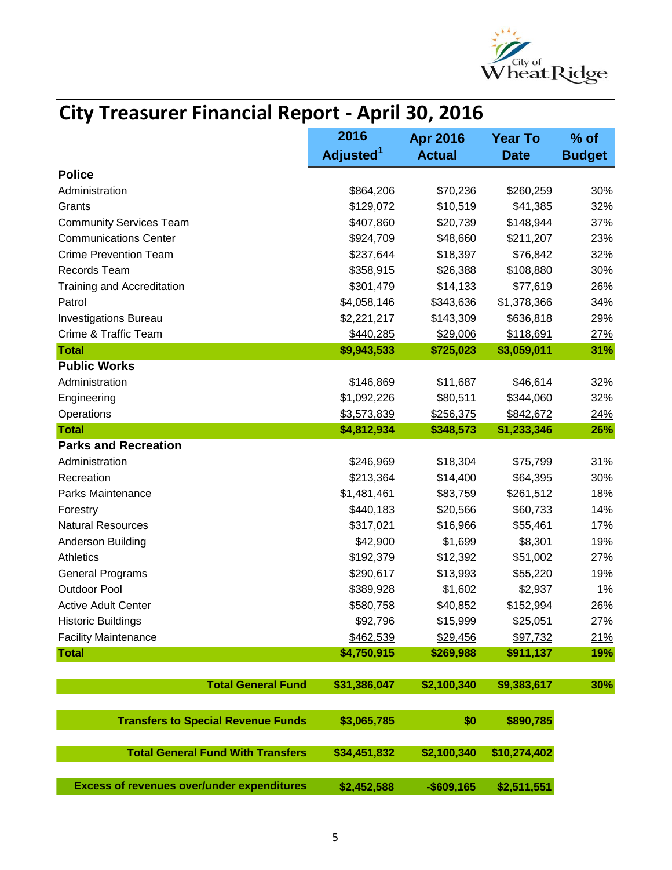

|                                                   | 2016                  | <b>Apr 2016</b> | <b>Year To</b> | $%$ of        |
|---------------------------------------------------|-----------------------|-----------------|----------------|---------------|
|                                                   | Adjusted <sup>1</sup> | <b>Actual</b>   | <b>Date</b>    | <b>Budget</b> |
| <b>Police</b>                                     |                       |                 |                |               |
| Administration                                    | \$864,206             | \$70,236        | \$260,259      | 30%           |
| Grants                                            | \$129,072             | \$10,519        | \$41,385       | 32%           |
| <b>Community Services Team</b>                    | \$407,860             | \$20,739        | \$148,944      | 37%           |
| <b>Communications Center</b>                      | \$924,709             | \$48,660        | \$211,207      | 23%           |
| <b>Crime Prevention Team</b>                      | \$237,644             | \$18,397        | \$76,842       | 32%           |
| Records Team                                      | \$358,915             | \$26,388        | \$108,880      | 30%           |
| <b>Training and Accreditation</b>                 | \$301,479             | \$14,133        | \$77,619       | 26%           |
| Patrol                                            | \$4,058,146           | \$343,636       | \$1,378,366    | 34%           |
| <b>Investigations Bureau</b>                      | \$2,221,217           | \$143,309       | \$636,818      | 29%           |
| Crime & Traffic Team                              | \$440,285             | \$29,006        | \$118,691      | 27%           |
| <b>Total</b>                                      | \$9,943,533           | \$725,023       | \$3,059,011    | 31%           |
| <b>Public Works</b>                               |                       |                 |                |               |
| Administration                                    | \$146,869             | \$11,687        | \$46,614       | 32%           |
| Engineering                                       | \$1,092,226           | \$80,511        | \$344,060      | 32%           |
| Operations                                        | \$3,573,839           | \$256,375       | \$842,672      | 24%           |
| <b>Total</b>                                      | \$4,812,934           | \$348,573       | \$1,233,346    | 26%           |
| <b>Parks and Recreation</b>                       |                       |                 |                |               |
| Administration                                    | \$246,969             | \$18,304        | \$75,799       | 31%           |
| Recreation                                        | \$213,364             | \$14,400        | \$64,395       | 30%           |
| Parks Maintenance                                 | \$1,481,461           | \$83,759        | \$261,512      | 18%           |
| Forestry                                          | \$440,183             | \$20,566        | \$60,733       | 14%           |
| <b>Natural Resources</b>                          | \$317,021             | \$16,966        | \$55,461       | 17%           |
| Anderson Building                                 | \$42,900              | \$1,699         | \$8,301        | 19%           |
| Athletics                                         | \$192,379             | \$12,392        | \$51,002       | 27%           |
| <b>General Programs</b>                           | \$290,617             | \$13,993        | \$55,220       | 19%           |
| <b>Outdoor Pool</b>                               | \$389,928             | \$1,602         | \$2,937        | 1%            |
| <b>Active Adult Center</b>                        | \$580,758             | \$40,852        | \$152,994      | 26%           |
| <b>Historic Buildings</b>                         | \$92,796              | \$15,999        | \$25,051       | 27%           |
| <b>Facility Maintenance</b>                       | \$462,539             | \$29,456        | \$97,732       | 21%           |
| <b>Total</b>                                      | \$4,750,915           | \$269,988       | \$911,137      | 19%           |
|                                                   |                       |                 |                |               |
| <b>Total General Fund</b>                         | \$31,386,047          | \$2,100,340     | \$9,383,617    | 30%           |
| <b>Transfers to Special Revenue Funds</b>         | \$3,065,785           | \$0             | \$890,785      |               |
| <b>Total General Fund With Transfers</b>          | \$34,451,832          | \$2,100,340     | \$10,274,402   |               |
| <b>Excess of revenues over/under expenditures</b> | \$2,452,588           | $-$609,165$     | \$2,511,551    |               |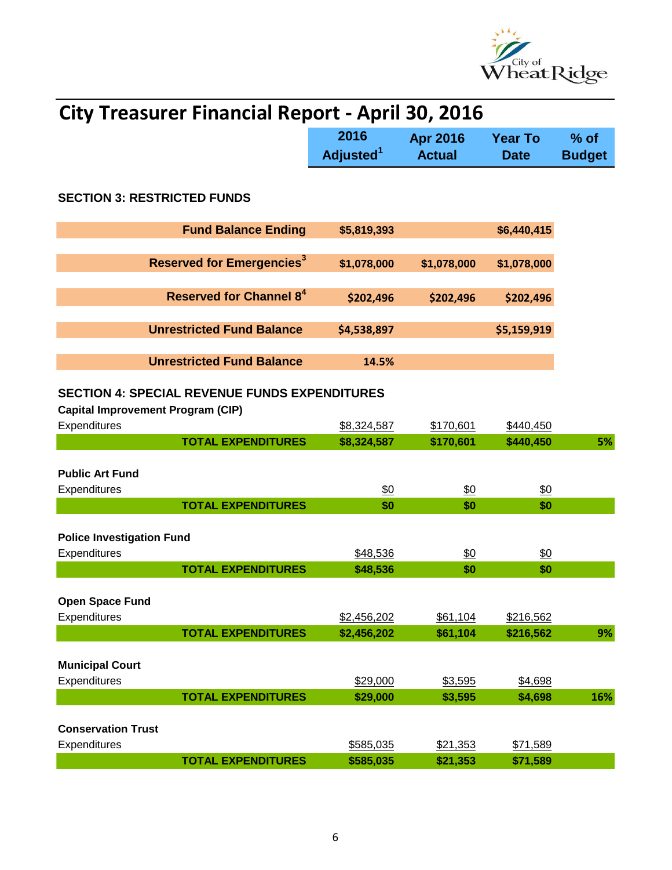

| <b>City Treasurer Financial Report - April 30, 2016</b>                                          |                               |                                  |                               |                         |  |
|--------------------------------------------------------------------------------------------------|-------------------------------|----------------------------------|-------------------------------|-------------------------|--|
|                                                                                                  | 2016<br>Adjusted <sup>1</sup> | <b>Apr 2016</b><br><b>Actual</b> | <b>Year To</b><br><b>Date</b> | $%$ of<br><b>Budget</b> |  |
| <b>SECTION 3: RESTRICTED FUNDS</b>                                                               |                               |                                  |                               |                         |  |
| <b>Fund Balance Ending</b>                                                                       | \$5,819,393                   |                                  | \$6,440,415                   |                         |  |
| <b>Reserved for Emergencies<sup>3</sup></b>                                                      | \$1,078,000                   | \$1,078,000                      | \$1,078,000                   |                         |  |
| Reserved for Channel 8 <sup>4</sup>                                                              | \$202,496                     | \$202,496                        | \$202,496                     |                         |  |
| <b>Unrestricted Fund Balance</b>                                                                 | \$4,538,897                   |                                  | \$5,159,919                   |                         |  |
| <b>Unrestricted Fund Balance</b>                                                                 | 14.5%                         |                                  |                               |                         |  |
| <b>SECTION 4: SPECIAL REVENUE FUNDS EXPENDITURES</b><br><b>Capital Improvement Program (CIP)</b> |                               |                                  |                               |                         |  |
| Expenditures                                                                                     | \$8,324,587                   | \$170,601                        | \$440,450                     |                         |  |
| <b>TOTAL EXPENDITURES</b><br><b>Public Art Fund</b>                                              | \$8,324,587                   | \$170,601                        | \$440,450                     | 5%                      |  |
| Expenditures                                                                                     | \$0                           | \$0                              | \$0                           |                         |  |
| <b>TOTAL EXPENDITURES</b>                                                                        | \$0                           | \$0                              | \$0                           |                         |  |
| <b>Police Investigation Fund</b><br>Expenditures                                                 | \$48,536                      | $\frac{60}{20}$                  | \$0                           |                         |  |
| <b>TOTAL EXPENDITURES</b>                                                                        | \$48,536                      | \$0                              | \$0                           |                         |  |
| <b>Open Space Fund</b>                                                                           |                               |                                  |                               |                         |  |
| Expenditures<br><b>TOTAL EXPENDITURES</b>                                                        | \$2,456,202<br>\$2,456,202    | \$61,104<br>\$61,104             | \$216,562<br>\$216,562        | 9%                      |  |
|                                                                                                  |                               |                                  |                               |                         |  |
| <b>Municipal Court</b><br>Expenditures                                                           | \$29,000                      | \$3,595                          | \$4,698                       |                         |  |
| <b>TOTAL EXPENDITURES</b>                                                                        | \$29,000                      | \$3,595                          | \$4,698                       | 16%                     |  |
| <b>Conservation Trust</b><br>Expenditures<br><b>TOTAL EXPENDITURES</b>                           | \$585,035<br>\$585,035        | \$21,353                         | \$71,589                      |                         |  |
|                                                                                                  |                               | \$21,353                         | \$71,589                      |                         |  |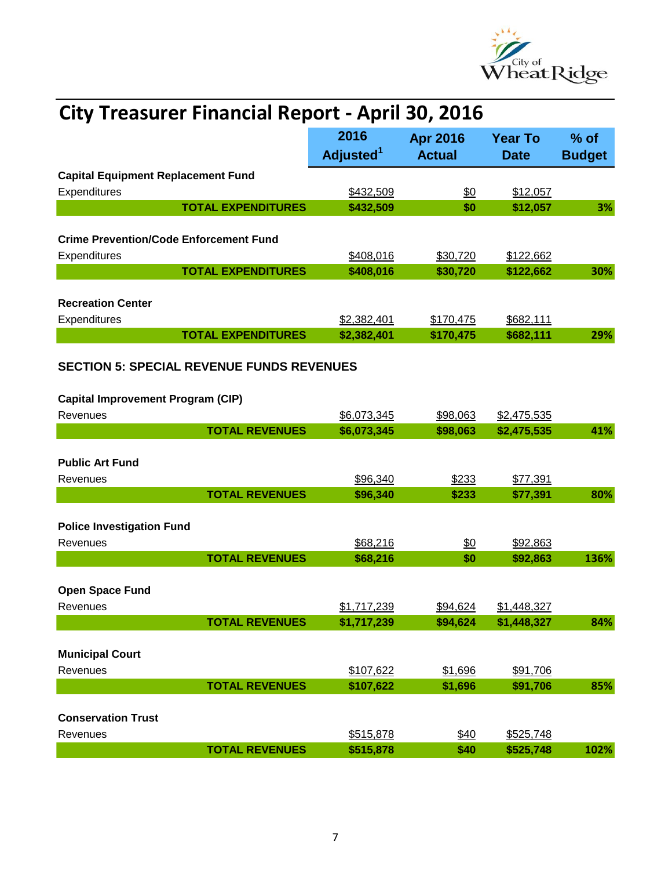

|                                                  | 2016<br>Adjusted <sup>1</sup> | <b>Apr 2016</b><br><b>Actual</b> | <b>Year To</b><br><b>Date</b> | % of<br><b>Budget</b> |
|--------------------------------------------------|-------------------------------|----------------------------------|-------------------------------|-----------------------|
| <b>Capital Equipment Replacement Fund</b>        |                               |                                  |                               |                       |
| Expenditures                                     | \$432,509                     | $\underline{\$0}$                | \$12,057                      |                       |
| <b>TOTAL EXPENDITURES</b>                        | \$432,509                     | \$0                              | \$12,057                      | 3%                    |
|                                                  |                               |                                  |                               |                       |
| <b>Crime Prevention/Code Enforcement Fund</b>    |                               |                                  |                               |                       |
| Expenditures                                     | \$408,016                     | \$30,720                         | \$122,662                     |                       |
| <b>TOTAL EXPENDITURES</b>                        | \$408,016                     | \$30,720                         | \$122,662                     | 30%                   |
|                                                  |                               |                                  |                               |                       |
| <b>Recreation Center</b><br>Expenditures         |                               |                                  |                               |                       |
| <b>TOTAL EXPENDITURES</b>                        | \$2,382,401<br>\$2,382,401    | \$170,475<br>\$170,475           | \$682,111<br>\$682,111        | 29%                   |
|                                                  |                               |                                  |                               |                       |
| <b>SECTION 5: SPECIAL REVENUE FUNDS REVENUES</b> |                               |                                  |                               |                       |
|                                                  |                               |                                  |                               |                       |
| <b>Capital Improvement Program (CIP)</b>         |                               |                                  |                               |                       |
| Revenues                                         | \$6,073,345                   | \$98,063                         | \$2,475,535                   |                       |
| <b>TOTAL REVENUES</b>                            | \$6,073,345                   | \$98,063                         | \$2,475,535                   | 41%                   |
|                                                  |                               |                                  |                               |                       |
| <b>Public Art Fund</b>                           |                               |                                  |                               |                       |
| Revenues                                         | \$96,340                      | \$233                            | \$77,391                      |                       |
| <b>TOTAL REVENUES</b>                            | \$96,340                      | \$233                            | \$77,391                      | 80%                   |
|                                                  |                               |                                  |                               |                       |
| <b>Police Investigation Fund</b>                 |                               |                                  |                               |                       |
| Revenues                                         | \$68,216                      | $\frac{60}{50}$                  | \$92,863                      |                       |
| <b>TOTAL REVENUES</b>                            | \$68,216                      | \$0                              | \$92,863                      | 136%                  |
| <b>Open Space Fund</b>                           |                               |                                  |                               |                       |
| Revenues                                         | \$1,717,239                   | \$94,624                         | \$1,448,327                   |                       |
| <b>TOTAL REVENUES</b>                            | \$1,717,239                   | \$94,624                         | \$1,448,327                   | 84%                   |
|                                                  |                               |                                  |                               |                       |
| <b>Municipal Court</b>                           |                               |                                  |                               |                       |
| Revenues                                         | \$107,622                     | \$1,696                          | \$91,706                      |                       |
| <b>TOTAL REVENUES</b>                            | \$107,622                     | \$1,696                          | \$91,706                      | 85%                   |
|                                                  |                               |                                  |                               |                       |
| <b>Conservation Trust</b>                        |                               |                                  |                               |                       |
| Revenues                                         | \$515,878                     | \$40                             | \$525,748                     |                       |
| <b>TOTAL REVENUES</b>                            | \$515,878                     | \$40                             | \$525,748                     | 102%                  |